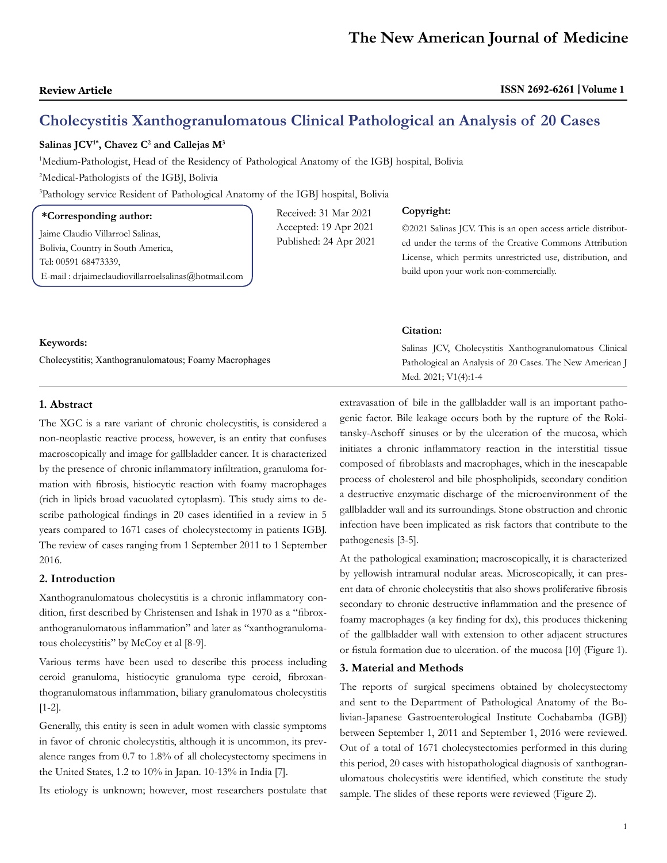# **Cholecystitis Xanthogranulomatous Clinical Pathological an Analysis of 20 Cases**

Received: 31 Mar 2021 Accepted: 19 Apr 2021 Published: 24 Apr 2021

### $\rm Salinas~JCV^{1*}, Chavez~C^2$  and Callejas  $\rm M^3$

1 Medium-Pathologist, Head of the Residency of Pathological Anatomy of the IGBJ hospital, Bolivia

2 Medical-Pathologists of the IGBJ, Bolivia

3 Pathology service Resident of Pathological Anatomy of the IGBJ hospital, Bolivia

# **\*Corresponding author:**

Jaime Claudio Villarroel Salinas, Bolivia, Country in South America, Tel: 00591 68473339, E-mail : [drjaimeclaudiovillarroelsalinas@hotmail.com](mailto:drjaimeclaudiovillarroelsalinas@hotmail.com)

#### **Copyright:**

©2021 Salinas JCV. This is an open access article distributed under the terms of the Creative Commons Attribution License, which permits unrestricted use, distribution, and build upon your work non-commercially.

|                                                                    | <b>Citation:</b>                                         |
|--------------------------------------------------------------------|----------------------------------------------------------|
| Keywords:<br>Cholecystitis; Xanthogranulomatous; Foamy Macrophages | Salinas JCV, Cholecystitis Xanthogranulomatous Clinical  |
|                                                                    | Pathological an Analysis of 20 Cases. The New American J |
|                                                                    | Med. 2021; V1(4):1-4                                     |

# **1. Abstract**

The XGC is a rare variant of chronic cholecystitis, is considered a non-neoplastic reactive process, however, is an entity that confuses macroscopically and image for gallbladder cancer. It is characterized by the presence of chronic inflammatory infiltration, granuloma formation with fibrosis, histiocytic reaction with foamy macrophages (rich in lipids broad vacuolated cytoplasm). This study aims to describe pathological findings in 20 cases identified in a review in 5 years compared to 1671 cases of cholecystectomy in patients IGBJ. The review of cases ranging from 1 September 2011 to 1 September 2016.

# **2. Introduction**

Xanthogranulomatous cholecystitis is a chronic inflammatory condition, first described by Christensen and Ishak in 1970 as a "fibroxanthogranulomatous inflammation" and later as "xanthogranulomatous cholecystitis" by McCoy et al [8-9].

Various terms have been used to describe this process including ceroid granuloma, histiocytic granuloma type ceroid, fibroxanthogranulomatous inflammation, biliary granulomatous cholecystitis [1-2].

Generally, this entity is seen in adult women with classic symptoms in favor of chronic cholecystitis, although it is uncommon, its prevalence ranges from 0.7 to 1.8% of all cholecystectomy specimens in the United States, 1.2 to 10% in Japan. 10-13% in India [7].

Its etiology is unknown; however, most researchers postulate that

extravasation of bile in the gallbladder wall is an important pathogenic factor. Bile leakage occurs both by the rupture of the Rokitansky-Aschoff sinuses or by the ulceration of the mucosa, which initiates a chronic inflammatory reaction in the interstitial tissue composed of fibroblasts and macrophages, which in the inescapable process of cholesterol and bile phospholipids, secondary condition a destructive enzymatic discharge of the microenvironment of the gallbladder wall and its surroundings. Stone obstruction and chronic infection have been implicated as risk factors that contribute to the pathogenesis [3-5].

At the pathological examination; macroscopically, it is characterized by yellowish intramural nodular areas. Microscopically, it can present data of chronic cholecystitis that also shows proliferative fibrosis secondary to chronic destructive inflammation and the presence of foamy macrophages (a key finding for dx), this produces thickening of the gallbladder wall with extension to other adjacent structures or fistula formation due to ulceration. of the mucosa [10] (Figure 1).

### **3. Material and Methods**

The reports of surgical specimens obtained by cholecystectomy and sent to the Department of Pathological Anatomy of the Bolivian-Japanese Gastroenterological Institute Cochabamba (IGBJ) between September 1, 2011 and September 1, 2016 were reviewed. Out of a total of 1671 cholecystectomies performed in this during this period, 20 cases with histopathological diagnosis of xanthogranulomatous cholecystitis were identified, which constitute the study sample. The slides of these reports were reviewed (Figure 2).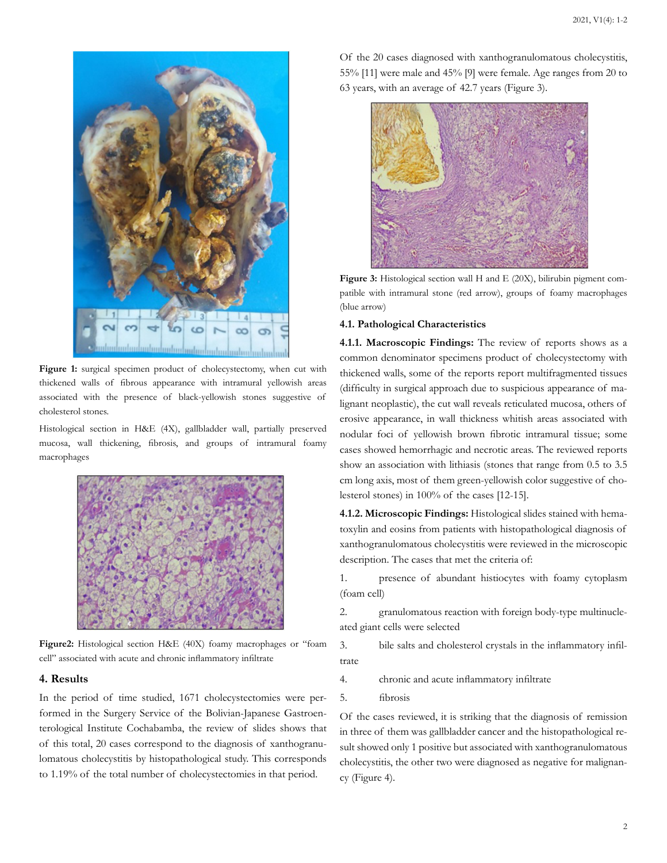

**Figure 1:** surgical specimen product of cholecystectomy, when cut with thickened walls of fibrous appearance with intramural yellowish areas associated with the presence of black-yellowish stones suggestive of cholesterol stones.

Histological section in H&E (4X), gallbladder wall, partially preserved mucosa, wall thickening, fibrosis, and groups of intramural foamy macrophages



**Figure2:** Histological section H&E (40X) foamy macrophages or "foam cell" associated with acute and chronic inflammatory infiltrate

#### **4. Results**

In the period of time studied, 1671 cholecystectomies were performed in the Surgery Service of the Bolivian-Japanese Gastroenterological Institute Cochabamba, the review of slides shows that of this total, 20 cases correspond to the diagnosis of xanthogranulomatous cholecystitis by histopathological study. This corresponds to 1.19% of the total number of cholecystectomies in that period.

Of the 20 cases diagnosed with xanthogranulomatous cholecystitis, 55% [11] were male and 45% [9] were female. Age ranges from 20 to 63 years, with an average of 42.7 years (Figure 3).



**Figure 3:** Histological section wall H and E (20X), bilirubin pigment compatible with intramural stone (red arrow), groups of foamy macrophages (blue arrow)

#### **4.1. Pathological Characteristics**

**4.1.1. Macroscopic Findings:** The review of reports shows as a common denominator specimens product of cholecystectomy with thickened walls, some of the reports report multifragmented tissues (difficulty in surgical approach due to suspicious appearance of malignant neoplastic), the cut wall reveals reticulated mucosa, others of erosive appearance, in wall thickness whitish areas associated with nodular foci of yellowish brown fibrotic intramural tissue; some cases showed hemorrhagic and necrotic areas. The reviewed reports show an association with lithiasis (stones that range from 0.5 to 3.5 cm long axis, most of them green-yellowish color suggestive of cholesterol stones) in 100% of the cases [12-15].

**4.1.2. Microscopic Findings:** Histological slides stained with hematoxylin and eosins from patients with histopathological diagnosis of xanthogranulomatous cholecystitis were reviewed in the microscopic description. The cases that met the criteria of:

1. presence of abundant histiocytes with foamy cytoplasm (foam cell)

2. granulomatous reaction with foreign body-type multinucleated giant cells were selected

3. bile salts and cholesterol crystals in the inflammatory infiltrate

4. chronic and acute inflammatory infiltrate

5. fibrosis

Of the cases reviewed, it is striking that the diagnosis of remission in three of them was gallbladder cancer and the histopathological result showed only 1 positive but associated with xanthogranulomatous cholecystitis, the other two were diagnosed as negative for malignancy (Figure 4).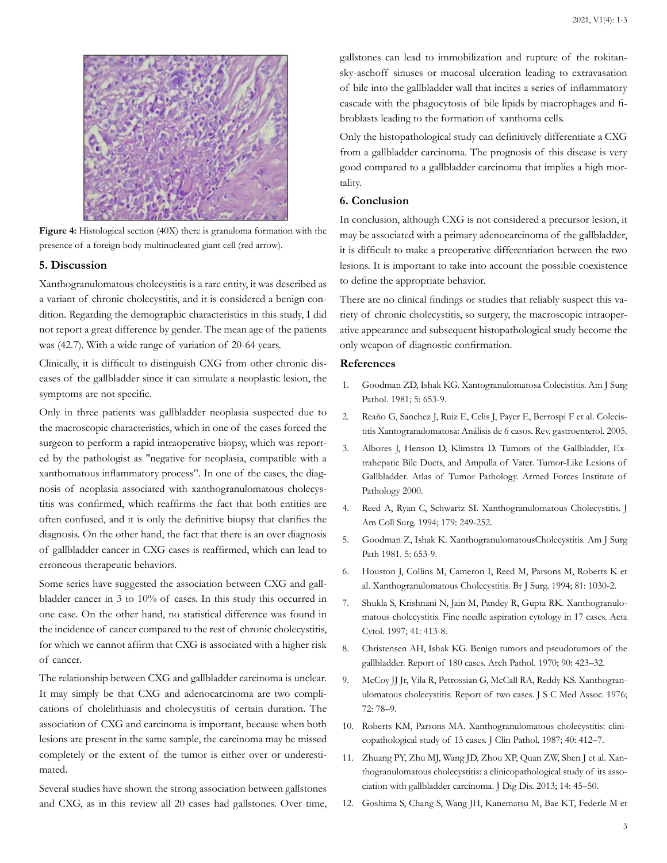

**Figure 4:** Histological section (40X) there is granuloma formation with the presence of a foreign body multinucleated giant cell (red arrow).

# **5. Discussion**

Xanthogranulomatous cholecystitis is a rare entity, it was described as a variant of chronic cholecystitis, and it is considered a benign condition. Regarding the demographic characteristics in this study, I did not report a great difference by gender. The mean age of the patients was (42.7). With a wide range of variation of 20-64 years.

Clinically, it is difficult to distinguish CXG from other chronic diseases of the gallbladder since it can simulate a neoplastic lesion, the symptoms are not specific.

Only in three patients was gallbladder neoplasia suspected due to the macroscopic characteristics, which in one of the cases forced the surgeon to perform a rapid intraoperative biopsy, which was reported by the pathologist as "negative for neoplasia, compatible with a xanthomatous inflammatory process". In one of the cases, the diagnosis of neoplasia associated with xanthogranulomatous cholecystitis was confirmed, which reaffirms the fact that both entities are often confused, and it is only the definitive biopsy that clarifies the diagnosis. On the other hand, the fact that there is an over diagnosis of gallbladder cancer in CXG cases is reaffirmed, which can lead to erroneous therapeutic behaviors.

Some series have suggested the association between CXG and gallbladder cancer in 3 to 10% of cases. In this study this occurred in one case. On the other hand, no statistical difference was found in the incidence of cancer compared to the rest of chronic cholecystitis, for which we cannot affirm that CXG is associated with a higher risk of cancer.

The relationship between CXG and gallbladder carcinoma is unclear. It may simply be that CXG and adenocarcinoma are two complications of cholelithiasis and cholecystitis of certain duration. The association of CXG and carcinoma is important, because when both lesions are present in the same sample, the carcinoma may be missed completely or the extent of the tumor is either over or underestimated.

Several studies have shown the strong association between gallstones and CXG, as in this review all 20 cases had gallstones. Over time, gallstones can lead to immobilization and rupture of the rokitansky-aschoff sinuses or mucosal ulceration leading to extravasation of bile into the gallbladder wall that incites a series of inflammatory cascade with the phagocytosis of bile lipids by macrophages and fibroblasts leading to the formation of xanthoma cells.

Only the histopathological study can definitively differentiate a CXG from a gallbladder carcinoma. The prognosis of this disease is very good compared to a gallbladder carcinoma that implies a high mortality.

#### **6. Conclusion**

In conclusion, although CXG is not considered a precursor lesion, it may be associated with a primary adenocarcinoma of the gallbladder, it is difficult to make a preoperative differentiation between the two lesions. It is important to take into account the possible coexistence to define the appropriate behavior.

There are no clinical findings or studies that reliably suspect this variety of chronic cholecystitis, so surgery, the macroscopic intraoperative appearance and subsequent histopathological study become the only weapon of diagnostic confirmation.

# **References**

- 1. [Goodman ZD, Ishak KG. Xantogranulomatosa Colecistitis. Am J Surg](https://pubmed.ncbi.nlm.nih.gov/7337158/) [Pathol. 1981; 5: 653-9.](https://pubmed.ncbi.nlm.nih.gov/7337158/)
- 2. [Reaño G, Sanchez J, Ruiz E, Celis J, Payer E, Berrospi F et al. Colecis](http://www.scielo.org.pe/scielo.php?script=sci_arttext&pid=S1022-51292005000100008)[titis Xantogranulomatosa: Análisis de 6 casos. Rev. gastroenterol. 2005.](http://www.scielo.org.pe/scielo.php?script=sci_arttext&pid=S1022-51292005000100008)
- 3. Albores J, Henson D, Klimstra D. Tumors of the Gallbladder, Extrahepatic Bile Ducts, and Ampulla of Vater. Tumor-Like Lesions of Gallbladder. Atlas of Tumor Pathology. Armed Forces Institute of Pathology 2000.
- 4. [Reed A, Ryan C, Schwartz SI. Xanthogranulomatous Cholecystitis. J](https://pubmed.ncbi.nlm.nih.gov/8044399/) [Am Coll Surg. 1994; 179: 249-252.](https://pubmed.ncbi.nlm.nih.gov/8044399/)
- 5. [Goodman Z, Ishak K. XanthogranulomatousCholecystitis. Am J Surg](https://pubmed.ncbi.nlm.nih.gov/7337158/) [Path 1981. 5: 653-9.](https://pubmed.ncbi.nlm.nih.gov/7337158/)
- 6. [Houston J, Collins M, Cameron I, Reed M, Parsons M, Roberts K et](https://pubmed.ncbi.nlm.nih.gov/7922056/) [al. Xanthogranulomatous Cholecystitis. Br J Surg. 1994; 81: 1030-2.](https://pubmed.ncbi.nlm.nih.gov/7922056/)
- 7. [Shukla S, Krishnani N, Jain M, Pandey R, Gupta RK. Xanthogranulo](https://pubmed.ncbi.nlm.nih.gov/9100775/)[matous cholecystitis. Fine needle aspiration cytology in 17 cases. Acta](https://pubmed.ncbi.nlm.nih.gov/9100775/) [Cytol. 1997; 41: 413-8.](https://pubmed.ncbi.nlm.nih.gov/9100775/)
- 8. [Christensen AH, Ishak KG. Benign tumors and pseudotumors of the](https://pubmed.ncbi.nlm.nih.gov/4319984/)  [gallbladder. Report of 180 cases. Arch Pathol. 1970; 90: 423–32.](https://pubmed.ncbi.nlm.nih.gov/4319984/)
- 9. [McCoy JJ Jr, Vila R, Petrossian G, McCall RA, Reddy KS. Xanthogran](https://pubmed.ncbi.nlm.nih.gov/1063276/)[ulomatous cholecystitis. Report of two cases. J S C Med Assoc. 1976;](https://pubmed.ncbi.nlm.nih.gov/1063276/) [72: 78–9.](https://pubmed.ncbi.nlm.nih.gov/1063276/)
- 10. [Roberts KM, Parsons MA. Xanthogranulomatous cholecystitis: clini](https://www.ncbi.nlm.nih.gov/pmc/articles/PMC1140974/)[copathological study of 13 cases. J Clin Pathol. 1987; 40: 412–7.](https://www.ncbi.nlm.nih.gov/pmc/articles/PMC1140974/)
- 11. [Zhuang PY, Zhu MJ, Wang JD, Zhou XP, Quan ZW, Shen J et al. Xan](https://pubmed.ncbi.nlm.nih.gov/23134201/)[thogranulomatous cholecystitis: a clinicopathological study of its asso](https://pubmed.ncbi.nlm.nih.gov/23134201/)[ciation with gallbladder carcinoma. J Dig Dis. 2013; 14: 45–50.](https://pubmed.ncbi.nlm.nih.gov/23134201/)
- 12. [Goshima S, Chang S, Wang JH, Kanematsu M, Bae KT, Federle M et](https://pubmed.ncbi.nlm.nih.gov/19446416/)